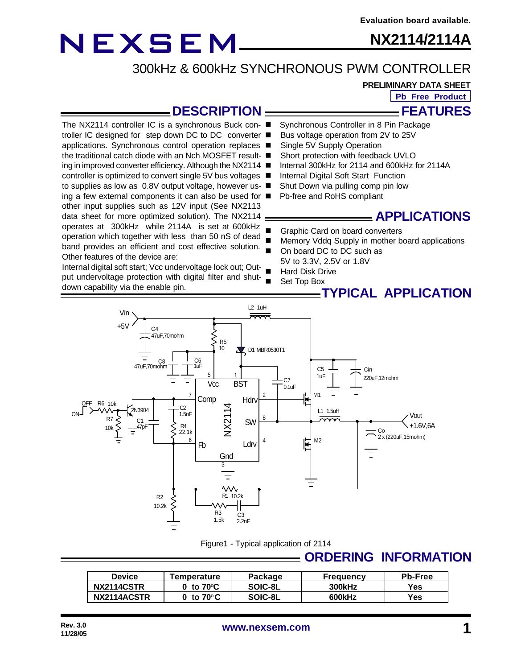other input supplies such as 12V input (See NX2113 data sheet for more optimized solution). The NX2114 operates at 300kHz while 2114A is set at 600kHz operation which together with less than 50 nS of dead

Internal digital soft start; Vcc undervoltage lock out; Out-

Other features of the device are:

down capability via the enable pin.

**NX2114/2114A**

300kHz & 600kHz SYNCHRONOUS PWM CONTROLLER

**PRELIMINARY DATA SHEET**

**Pb Free Product**

### **DESCRIPTION**

- Synchronous Controller in 8 Pin Package The NX2114 controller IC is a synchronous Buck con- ■
- Bus voltage operation from 2V to 25V troller IC designed for step down DC to DC converter ■
- Single 5V Supply Operation applications. Synchronous control operation replaces ■
- Short protection with feedback UVLO the traditional catch diode with an Nch MOSFET result- ■
- Internal 300kHz for 2114 and 600kHz for 2114A ing in improved converter efficiency. Although the NX2114 ■
- Internal Digital Soft Start Function controller is optimized to convert single 5V bus voltages ■
- Shut Down via pulling comp pin low to supplies as low as 0.8V output voltage, however us- ■
- Pb-free and RoHS compliant ing a few external components it can also be used for  $\blacksquare$

### **APPLICATIONS**

- Graphic Card on board converters
- Memory Vddq Supply in mother board applications band provides an efficient and cost effective solution.
	- On board DC to DC such as 5V to 3.3V, 2.5V or 1.8V
	- **Hard Disk Drive**
- Set Top Box put undervoltage protection with digital filter and shut-

### **TYPICAL APPLICATION**



#### Figure1 - Typical application of 2114

### **ORDERING INFORMATION**

| Device      | Temperature                                   | Package | <b>Frequency</b> | <b>Pb-Free</b> |
|-------------|-----------------------------------------------|---------|------------------|----------------|
| NX2114CSTR  | າ to 70℃ $\sim$                               | SOIC-8L | 300kHz           | Yes            |
| NX2114ACSTR | $^{\backprime}$ to 70 $^{\circ}$ C $^{\circ}$ | SOIC-8L | 600kHz           | Yes            |

**FEATURES**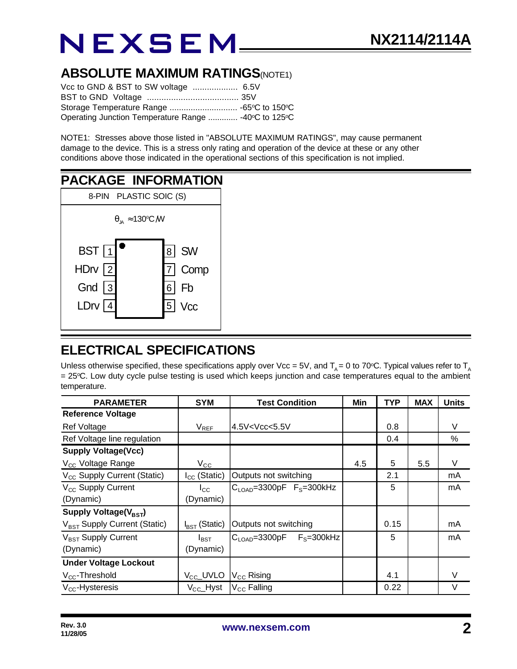### **ABSOLUTE MAXIMUM RATINGS(NOTE1)**

| Operating Junction Temperature Range  -40°C to 125°C |  |
|------------------------------------------------------|--|

NOTE1: Stresses above those listed in "ABSOLUTE MAXIMUM RATINGS", may cause permanent damage to the device. This is a stress only rating and operation of the device at these or any other conditions above those indicated in the operational sections of this specification is not implied.

#### **PACKAGE INFORMATION** 8-PIN PLASTIC SOIC (S) 4 3 HDrv | 2 1 5 6 7 **BST** LDrv Gnd **Vcc** Fb Comp 8<sup>SW</sup>  $\theta_{\rm yA} \approx 130^{\rm o}{\rm C}$  /W

### **ELECTRICAL SPECIFICATIONS**

Unless otherwise specified, these specifications apply over Vcc = 5V, and  $T_A$  = 0 to 70°C. Typical values refer to  $T_A$ = 25°C. Low duty cycle pulse testing is used which keeps junction and case temperatures equal to the ambient temperature.

| <b>PARAMETER</b>                         | <b>SYM</b>                | <b>Test Condition</b>                                                         | Min | <b>TYP</b> | <b>MAX</b> | <b>Units</b> |
|------------------------------------------|---------------------------|-------------------------------------------------------------------------------|-----|------------|------------|--------------|
| <b>Reference Voltage</b>                 |                           |                                                                               |     |            |            |              |
| Ref Voltage                              | $V_{REF}$                 | $4.5$ V <vcc<5.5v< td=""><td></td><td>0.8</td><td></td><td>V</td></vcc<5.5v<> |     | 0.8        |            | V            |
| Ref Voltage line regulation              |                           |                                                                               |     | 0.4        |            | %            |
| <b>Supply Voltage(Vcc)</b>               |                           |                                                                               |     |            |            |              |
| V <sub>CC</sub> Voltage Range            | $V_{\rm CC}$              |                                                                               | 4.5 | 5          | 5.5        | V            |
| V <sub>CC</sub> Supply Current (Static)  | $I_{CC}$ (Static)         | Outputs not switching                                                         |     | 2.1        |            | mA           |
| V <sub>CC</sub> Supply Current           | $I_{\rm CC}$              | $C_{\text{LOAD}} = 3300pF$ $F_s = 300kHz$                                     |     | 5          |            | mA           |
| (Dynamic)                                | (Dynamic)                 |                                                                               |     |            |            |              |
| Supply Voltage( $V_{\text{BST}}$ )       |                           |                                                                               |     |            |            |              |
| V <sub>BST</sub> Supply Current (Static) | $I_{\text{BST}}$ (Static) | Outputs not switching                                                         |     | 0.15       |            | mA           |
| V <sub>BST</sub> Supply Current          | $I_{\mathsf{BST}}$        | $C_{\text{LOAD}} = 3300pF$ $F_S = 300kHz$                                     |     | 5          |            | mA           |
| (Dynamic)                                | (Dynamic)                 |                                                                               |     |            |            |              |
| <b>Under Voltage Lockout</b>             |                           |                                                                               |     |            |            |              |
| V <sub>cc</sub> -Threshold               | V <sub>CC</sub> _UVLO     | $V_{\text{CC}}$ Rising                                                        |     | 4.1        |            | V            |
| $V_{CC}$ -Hysteresis                     | $V_{\rm CC}\_$ Hyst       | $V_{\rm CC}$ Falling                                                          |     | 0.22       |            | V            |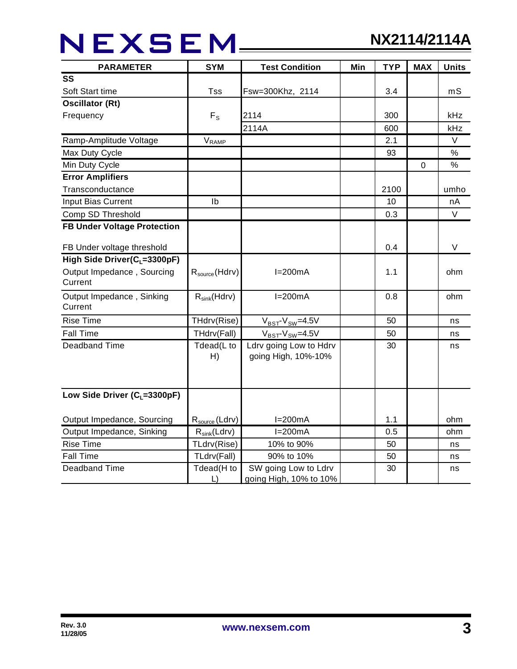## NEXSEM\_\_\_\_\_

| <b>PARAMETER</b>                         | <b>SYM</b><br><b>Test Condition</b> |                                                | Min | <b>TYP</b> | <b>MAX</b> | <b>Units</b> |
|------------------------------------------|-------------------------------------|------------------------------------------------|-----|------------|------------|--------------|
| SS                                       |                                     |                                                |     |            |            |              |
| Soft Start time                          | Tss                                 | Fsw=300Khz, 2114                               |     | 3.4        |            | mS           |
| <b>Oscillator (Rt)</b>                   |                                     |                                                |     |            |            |              |
| Frequency                                | $F_S$                               | 2114                                           |     | 300        |            | kHz          |
|                                          |                                     | 2114A                                          |     | 600        |            | kHz          |
| Ramp-Amplitude Voltage                   | $V_{\sf RAMP}$                      |                                                |     | 2.1        |            | V            |
| Max Duty Cycle                           |                                     |                                                |     | 93         |            | $\%$         |
| Min Duty Cycle                           |                                     |                                                |     |            | 0          | $\%$         |
| <b>Error Amplifiers</b>                  |                                     |                                                |     |            |            |              |
| Transconductance                         |                                     |                                                |     | 2100       |            | umho         |
| Input Bias Current                       | Ib                                  |                                                |     | 10         |            | nA           |
| Comp SD Threshold                        |                                     |                                                |     | 0.3        |            | $\vee$       |
| <b>FB Under Voltage Protection</b>       |                                     |                                                |     |            |            |              |
| FB Under voltage threshold               |                                     |                                                |     | 0.4        |            | $\vee$       |
| High Side Driver(C <sub>L</sub> =3300pF) |                                     |                                                |     |            |            |              |
| Output Impedance, Sourcing<br>Current    | $R_{\text{source}}(Hdrv)$           | $I=200mA$                                      |     | 1.1        |            | ohm          |
| Output Impedance, Sinking<br>Current     | $R_{sink}(Hdrv)$                    | $I=200mA$                                      |     | 0.8        |            | ohm          |
| <b>Rise Time</b>                         | THdrv(Rise)                         | $V_{BST}$ - $V_{SW}$ =4.5V                     |     | 50         |            | ns           |
| <b>Fall Time</b>                         | THdrv(Fall)                         | $V_{BST}$ - $V_{SW}$ =4.5V                     |     | 50         |            | ns           |
| <b>Deadband Time</b>                     | Tdead(L to<br>H)                    | Ldrv going Low to Hdrv<br>going High, 10%-10%  |     | 30         |            | ns           |
| Low Side Driver ( $C_1$ =3300pF)         |                                     |                                                |     |            |            |              |
| Output Impedance, Sourcing               | $R_{source}$ (Ldrv)                 | $I=200mA$                                      |     | 1.1        |            | ohm          |
| Output Impedance, Sinking                | $R_{sink}(Ldrv)$                    | $I=200mA$                                      |     | 0.5        |            | ohm          |
| <b>Rise Time</b>                         | TLdrv(Rise)                         | 10% to 90%                                     |     | 50         |            | ns           |
| <b>Fall Time</b>                         | TLdrv(Fall)                         | 90% to 10%                                     |     | 50         |            | ns           |
| <b>Deadband Time</b>                     | Tdead(H to<br>L)                    | SW going Low to Ldrv<br>going High, 10% to 10% |     | 30         |            | ns           |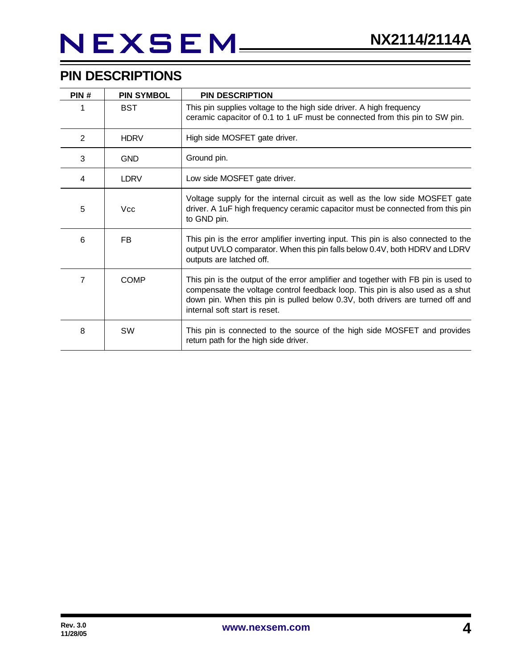# NEXSEM\_\_

### **PIN DESCRIPTIONS**

| PIN# | <b>PIN SYMBOL</b> | <b>PIN DESCRIPTION</b>                                                                                                                                                                                                                                                               |
|------|-------------------|--------------------------------------------------------------------------------------------------------------------------------------------------------------------------------------------------------------------------------------------------------------------------------------|
|      | <b>BST</b>        | This pin supplies voltage to the high side driver. A high frequency<br>ceramic capacitor of 0.1 to 1 uF must be connected from this pin to SW pin.                                                                                                                                   |
| 2    | <b>HDRV</b>       | High side MOSFET gate driver.                                                                                                                                                                                                                                                        |
| 3    | <b>GND</b>        | Ground pin.                                                                                                                                                                                                                                                                          |
| 4    | <b>LDRV</b>       | Low side MOSFET gate driver.                                                                                                                                                                                                                                                         |
| 5    | <b>Vcc</b>        | Voltage supply for the internal circuit as well as the low side MOSFET gate<br>driver. A 1uF high frequency ceramic capacitor must be connected from this pin<br>to GND pin.                                                                                                         |
| 6    | FB                | This pin is the error amplifier inverting input. This pin is also connected to the<br>output UVLO comparator. When this pin falls below 0.4V, both HDRV and LDRV<br>outputs are latched off.                                                                                         |
| 7    | <b>COMP</b>       | This pin is the output of the error amplifier and together with FB pin is used to<br>compensate the voltage control feedback loop. This pin is also used as a shut<br>down pin. When this pin is pulled below 0.3V, both drivers are turned off and<br>internal soft start is reset. |
| 8    | SW                | This pin is connected to the source of the high side MOSFET and provides<br>return path for the high side driver.                                                                                                                                                                    |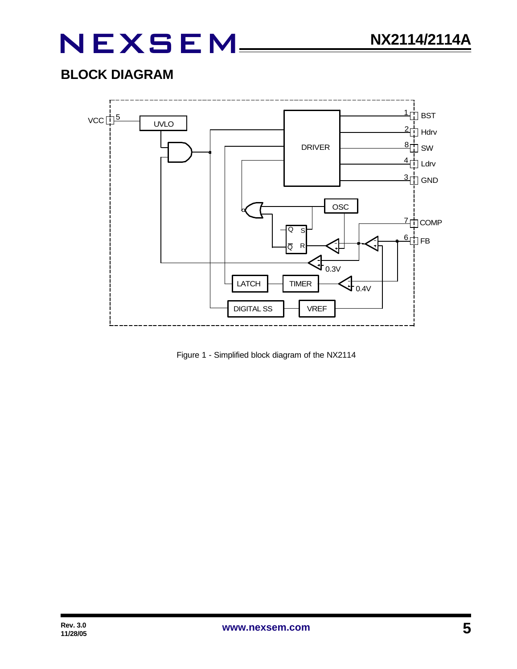## **BLOCK DIAGRAM**



Figure 1 - Simplified block diagram of the NX2114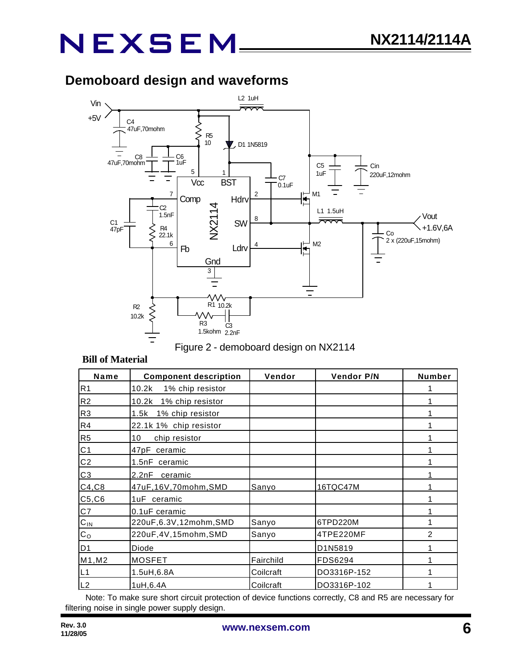## **Demoboard design and waveforms**



#### Figure 2 - demoboard design on NX2114

#### **Bill of Material**

| Name           | <b>Component description</b> | Vendor    | <b>Vendor P/N</b> | Number         |
|----------------|------------------------------|-----------|-------------------|----------------|
| R <sub>1</sub> | 10.2k<br>1% chip resistor    |           |                   |                |
| R <sub>2</sub> | 10.2k<br>1% chip resistor    |           |                   |                |
| R <sub>3</sub> | 1% chip resistor<br>1.5k     |           |                   |                |
| R4             | 22.1k 1% chip resistor       |           |                   |                |
| R <sub>5</sub> | 10<br>chip resistor          |           |                   |                |
| C <sub>1</sub> | 47pF ceramic                 |           |                   |                |
| C <sub>2</sub> | 1.5nF ceramic                |           |                   |                |
| C <sub>3</sub> | 2.2nF<br>ceramic             |           |                   |                |
| C4, C8         | 47uF,16V,70mohm,SMD          | Sanyo     | 16TQC47M          |                |
| C5, C6         | 1uF ceramic                  |           |                   |                |
| C7             | 0.1uF ceramic                |           |                   |                |
| $C_{IN}$       | 220uF,6.3V,12mohm,SMD        | Sanyo     | 6TPD220M          |                |
| $C_{\rm O}$    | 220uF,4V,15mohm,SMD          | Sanyo     | 4TPE220MF         | $\mathfrak{p}$ |
| D <sub>1</sub> | Diode                        |           | D1N5819           |                |
| M1, M2         | <b>MOSFET</b>                | Fairchild | FDS6294           |                |
| L1             | 1.5uH,6.8A                   | Coilcraft | DO3316P-152       |                |
| L2             | 1uH, 6.4A                    | Coilcraft | DO3316P-102       |                |

Note: To make sure short circuit protection of device functions correctly, C8 and R5 are necessary for filtering noise in single power supply design.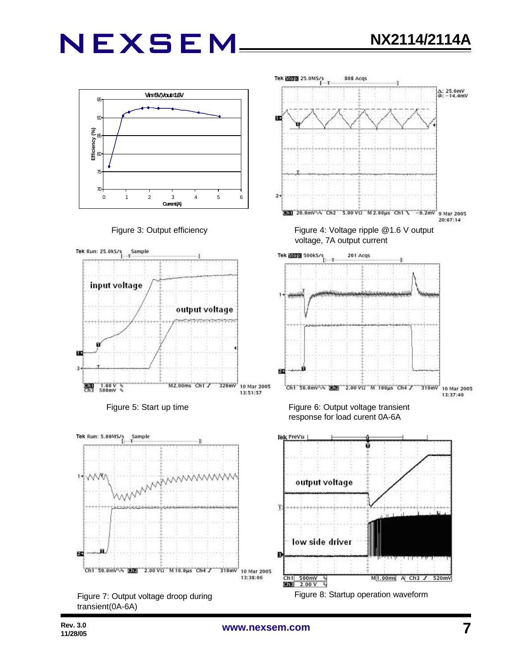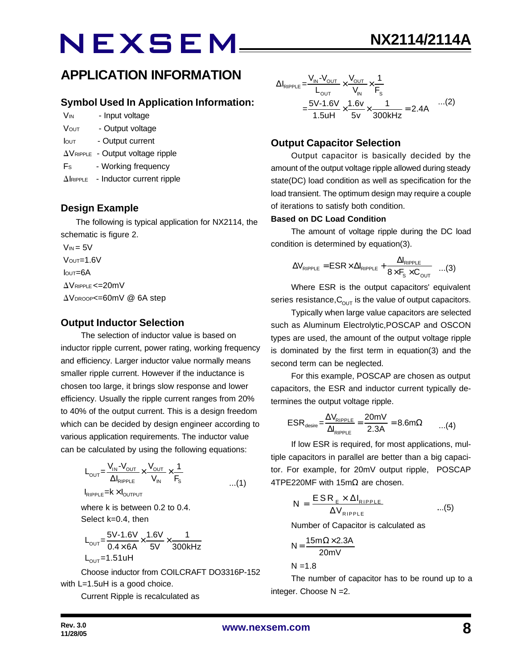### **APPLICATION INFORMATION**

### **Symbol Used In Application Information:**

- V<sub>IN</sub> Input voltage
- VOUT Output voltage
- Iout Output current
- $\Delta V_{\text{RIPPLE}}$  Output voltage ripple
- Fs Working frequency
- $\Delta$ IRIPPLE Inductor current ripple

### **Design Example**

 The following is typical application for NX2114, the schematic is figure 2.

 $V_{IN} = 5V$  $V$ OUT= $1.6V$  $I<sub>QUT</sub>=6A$  $\Delta V$ RIPPLE <= 20mV  $\Delta V_{\text{DROOP}} = 60$ mV @ 6A step

### **Output Inductor Selection**

The selection of inductor value is based on inductor ripple current, power rating, working frequency and efficiency. Larger inductor value normally means smaller ripple current. However if the inductance is chosen too large, it brings slow response and lower efficiency. Usually the ripple current ranges from 20% to 40% of the output current. This is a design freedom which can be decided by design engineer according to various application requirements. The inductor value can be calculated by using the following equations:

$$
L_{\text{OUT}} = \frac{V_{\text{IN}} - V_{\text{OUT}}}{\Delta I_{\text{RIPPLE}}} \times \frac{V_{\text{OUT}}}{V_{\text{IN}}} \times \frac{1}{F_{\text{S}}}
$$
...(1)

 $I_{RIPPLE}$  =  $k \times I_{OUTPUT}$ 

where k is between 0.2 to 0.4. Select k=0.4, then

$$
L_{\text{OUT}} = \frac{5V - 1.6V}{0.4 \times 6A} \times \frac{1.6V}{5V} \times \frac{1}{300kHz}
$$
  
L\_{\text{OUT}} = 1.51uH

Choose inductor from COILCRAFT DO3316P-152 with L=1.5uH is a good choice.

Current Ripple is recalculated as

$$
\Delta I_{\text{RIPPLE}} = \frac{V_{\text{IN}} - V_{\text{OUT}}}{L_{\text{OUT}}} \times \frac{V_{\text{OUT}}}{V_{\text{IN}}} \times \frac{1}{F_{\text{s}}}
$$
  
= 
$$
\frac{5V - 1.6V}{1.5uH} \times \frac{1.6v}{5v} \times \frac{1}{300\text{kHz}} = 2.4A \quad ...(2)
$$

### **Output Capacitor Selection**

Output capacitor is basically decided by the amount of the output voltage ripple allowed during steady state(DC) load condition as well as specification for the load transient. The optimum design may require a couple of iterations to satisfy both condition.

#### **Based on DC Load Condition**

The amount of voltage ripple during the DC load condition is determined by equation(3).

$$
\Delta V_{\text{RIPPLE}} = \text{ESR} \times \Delta I_{\text{RIPPLE}} + \frac{\Delta I_{\text{RIPPLE}}}{8 \times F_s \times C_{\text{OUT}}} \quad ...(3)
$$

Where ESR is the output capacitors' equivalent series resistance,  $C_{\text{OUT}}$  is the value of output capacitors.

Typically when large value capacitors are selected such as Aluminum Electrolytic,POSCAP and OSCON types are used, the amount of the output voltage ripple is dominated by the first term in equation(3) and the second term can be neglected.

For this example, POSCAP are chosen as output capacitors, the ESR and inductor current typically determines the output voltage ripple.

$$
ESR_{\text{desire}} = \frac{\Delta V_{\text{RIPPLE}}}{\Delta I_{\text{RIPPLE}}} = \frac{20 \text{mV}}{2.3 \text{A}} = 8.6 \text{m}\Omega \qquad ...(4)
$$

If low ESR is required, for most applications, multiple capacitors in parallel are better than a big capacitor. For example, for 20mV output ripple, POSCAP 4TPE220MF with 15mΩ are chosen.

$$
N = \frac{ESR_{E} \times \Delta I_{RIPPLE}}{\Delta V_{RIPPLE}} \qquad ...(5)
$$

Number of Capacitor is calculated as

$$
N = \frac{15m\Omega \times 2.3A}{20mV}
$$

 $N = 1.8$ 

The number of capacitor has to be round up to a integer. Choose N =2.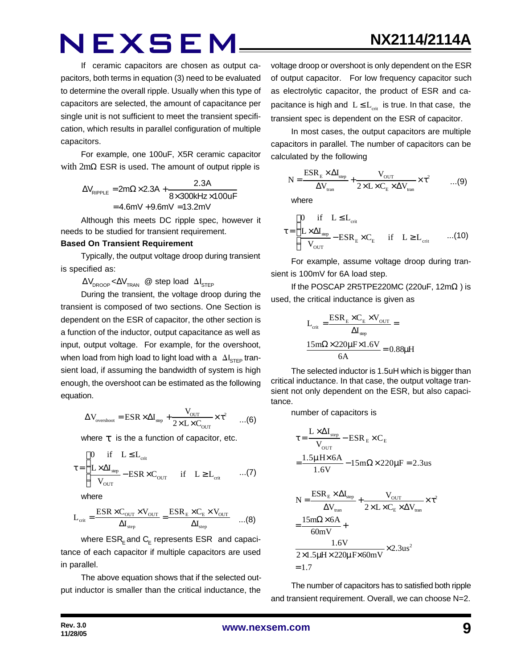If ceramic capacitors are chosen as output capacitors, both terms in equation (3) need to be evaluated to determine the overall ripple. Usually when this type of capacitors are selected, the amount of capacitance per single unit is not sufficient to meet the transient specification, which results in parallel configuration of multiple capacitors.

For example, one 100uF, X5R ceramic capacitor with 2mΩ ESR is used. The amount of output ripple is

$$
\Delta V_{\text{RIPPLE}} = 2m\Omega \times 2.3A + \frac{2.3A}{8 \times 300 \text{kHz} \times 100 \text{uF}}
$$

$$
= 4.6mV + 9.6mV = 13.2mV
$$

Although this meets DC ripple spec, however it needs to be studied for transient requirement.

#### **Based On Transient Requirement**

Typically, the output voltage droop during transient is specified as:

 $\Delta V_{\text{DROOP}} < \Delta V_{\text{TRAN}}$  @ step load  $\Delta I_{\text{STEP}}$ 

During the transient, the voltage droop during the transient is composed of two sections. One Section is dependent on the ESR of capacitor, the other section is a function of the inductor, output capacitance as well as input, output voltage. For example, for the overshoot, when load from high load to light load with a  $\Delta I_{\text{STEP}}$  transient load, if assuming the bandwidth of system is high enough, the overshoot can be estimated as the following equation.

$$
\Delta V_{\text{overshoot}} = \text{ESR} \times \Delta I_{\text{step}} + \frac{V_{\text{OUT}}}{2 \times L \times C_{\text{OUT}}} \times \tau^2 \qquad ... (6)
$$

where *t* is the a function of capacitor, etc.

$$
\tau = \begin{cases}\n0 & \text{if} \quad L \leq L_{\text{crit}} \\
\frac{L \times \Delta I_{\text{step}}}{V_{\text{OUT}}} - \text{ESR} \times C_{\text{OUT}} & \text{if} \quad L \geq L_{\text{crit}} \quad \dots (7)\n\end{cases}
$$

where

$$
L_{\text{crit}} = \frac{\text{ESR} \times C_{\text{OUT}} \times V_{\text{OUT}}}{\Delta I_{\text{step}}} = \frac{\text{ESR}_{\text{E}} \times C_{\text{E}} \times V_{\text{OUT}}}{\Delta I_{\text{step}}} \quad \dots (8)
$$

where  $\mathsf{ESR}_\mathsf{E}$  and  $\mathsf{C}_\mathsf{E}$  represents  $\mathsf{ESR}\;$  and capacitance of each capacitor if multiple capacitors are used in parallel.

The above equation shows that if the selected output inductor is smaller than the critical inductance, the

voltage droop or overshoot is only dependent on the ESR of output capacitor. For low frequency capacitor such as electrolytic capacitor, the product of ESR and capacitance is high and  $L \leq L_{crit}$  is true. In that case, the transient spec is dependent on the ESR of capacitor.

**NX2114/2114A**

In most cases, the output capacitors are multiple capacitors in parallel. The number of capacitors can be calculated by the following

$$
N = \frac{ESR_{E} \times \Delta I_{step}}{\Delta V_{tran}} + \frac{V_{OUT}}{2 \times L \times C_{E} \times \Delta V_{tran}} \times \tau^{2}
$$
 ...(9)

where

$$
\tau = \begin{cases}\n0 & \text{if} \quad L \leq L_{\text{crit}} \\
\frac{L \times \Delta I_{\text{sep}}}{V_{\text{OUT}}} - \text{ESR}_{\text{E}} \times C_{\text{E}} & \text{if} \quad L \geq L_{\text{crit}} \quad ...(10)\n\end{cases}
$$

For example, assume voltage droop during transient is 100mV for 6A load step.

If the POSCAP 2R5TPE220MC (220uF,  $12m\Omega$ ) is used, the critical inductance is given as

$$
L_{\text{crit}} = \frac{\text{ESR}_{\text{E}} \times C_{\text{E}} \times V_{\text{OUT}}}{\Delta I_{\text{sep}}} =
$$

$$
\frac{15 \text{m}\Omega \times 220 \mu \text{F} \times 1.6 V}{6 \text{A}} = 0.88 \mu \text{H}
$$

The selected inductor is 1.5uH which is bigger than critical inductance. In that case, the output voltage transient not only dependent on the ESR, but also capacitance.

number of capacitors is

$$
\tau = \frac{L \times \Delta I_{\text{step}}}{V_{\text{OUT}}} - \text{ESR}_{E} \times C_{E}
$$
\n
$$
= \frac{1.5 \mu \text{H} \times 6 \text{A}}{1.6 \text{V}} - 15 \text{m} \Omega \times 220 \mu \text{F} = 2.3 \text{us}
$$
\n
$$
N = \frac{\text{ESR}_{E} \times \Delta I_{\text{step}}}{\Delta V_{\text{tran}}} + \frac{V_{\text{OUT}}}{2 \times L \times C_{E} \times \Delta V_{\text{tran}}} \times \tau^{2}
$$
\n
$$
= \frac{15 \text{m} \Omega \times 6 \text{A}}{60 \text{mV}} + \frac{1.6 \text{V}}{2 \times 1.5 \mu \text{H} \times 220 \mu \text{F} \times 60 \text{mV}} \times 2.3 \text{us}^{2}
$$
\n= 1.7

The number of capacitors has to satisfied both ripple and transient requirement. Overall, we can choose N=2.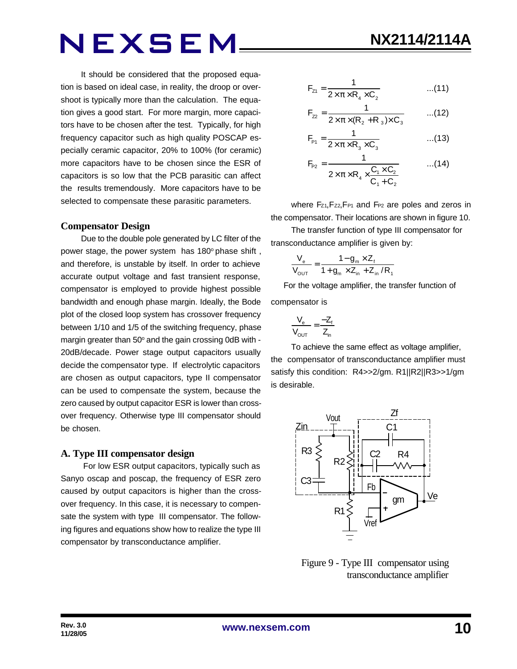It should be considered that the proposed equation is based on ideal case, in reality, the droop or overshoot is typically more than the calculation. The equation gives a good start. For more margin, more capacitors have to be chosen after the test. Typically, for high frequency capacitor such as high quality POSCAP especially ceramic capacitor, 20% to 100% (for ceramic) more capacitors have to be chosen since the ESR of capacitors is so low that the PCB parasitic can affect the results tremendously. More capacitors have to be selected to compensate these parasitic parameters.

#### **Compensator Design**

Due to the double pole generated by LC filter of the power stage, the power system has 180° phase shift, and therefore, is unstable by itself. In order to achieve accurate output voltage and fast transient response, compensator is employed to provide highest possible bandwidth and enough phase margin. Ideally, the Bode plot of the closed loop system has crossover frequency between 1/10 and 1/5 of the switching frequency, phase margin greater than 50° and the gain crossing 0dB with -20dB/decade. Power stage output capacitors usually decide the compensator type. If electrolytic capacitors are chosen as output capacitors, type II compensator can be used to compensate the system, because the zero caused by output capacitor ESR is lower than crossover frequency. Otherwise type III compensator should be chosen.

#### **A. Type III compensator design**

 For low ESR output capacitors, typically such as Sanyo oscap and poscap, the frequency of ESR zero caused by output capacitors is higher than the crossover frequency. In this case, it is necessary to compensate the system with type III compensator. The following figures and equations show how to realize the type III compensator by transconductance amplifier.

$$
F_{z_1} = \frac{1}{2 \times \pi \times R_4 \times C_2}
$$
...(11)

$$
F_{22} = \frac{1}{2 \times \pi \times (R_2 + R_3) \times C_3}
$$
...(12)

$$
F_{\rm{P1}} = \frac{1}{2 \times \pi \times R_3 \times C_3}
$$
...(13)

$$
F_{P2} = \frac{1}{2 \times \pi \times R_4 \times \frac{C_1 \times C_2}{C_1 + C_2}}
$$
...(14)

where Fz<sub>1</sub>, Fz<sub>2</sub>, F<sub>P1</sub> and F<sub>P2</sub> are poles and zeros in the compensator. Their locations are shown in figure 10.

The transfer function of type III compensator for transconductance amplifier is given by:

$$
\frac{V_{e}}{V_{\text{OUT}}} = \frac{1 - g_{m} \times Z_{f}}{1 + g_{m} \times Z_{in} + Z_{in} / R_{f}}
$$

 For the voltage amplifier, the transfer function of compensator is

$$
\frac{V_e}{V_{OUT}} = \frac{-Z_f}{Z_{in}}
$$

To achieve the same effect as voltage amplifier, the compensator of transconductance amplifier must satisfy this condition: R4>>2/gm. R1||R2||R3>>1/gm is desirable.



 Figure 9 - Type III compensator using transconductance amplifier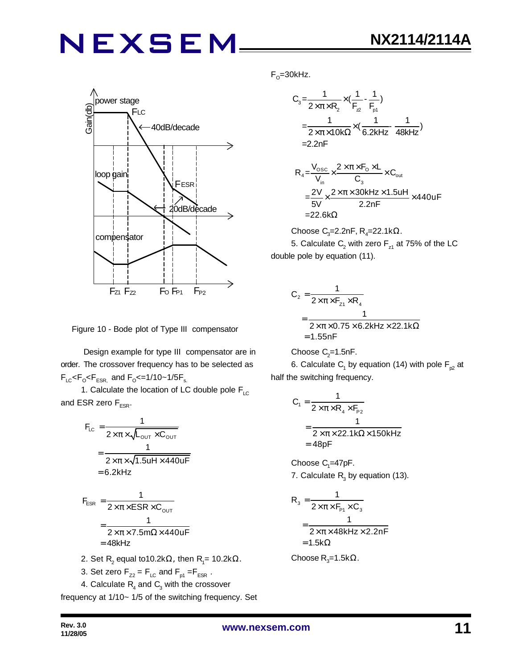

Figure 10 - Bode plot of Type III compensator

 Design example for type III compensator are in order. The crossover frequency has to be selected as  $F_{LC}$ < $F_{\rm o}$ < $F_{ESR,}$  and  $F_{\rm o}$ <=1/10~1/5 $F_{\rm s.}$ 

1. Calculate the location of LC double pole  $F_{\text{LC}}$ and ESR zero  $F_{ESR}$ .

$$
F_{LC} = \frac{1}{2 \times \pi \times \sqrt{L_{OUT} \times C_{OUT}}}
$$
  
= 
$$
\frac{1}{2 \times \pi \times \sqrt{1.5UH \times 440UF}}
$$
  
= 6.2kHz  

$$
F_{ESR} = \frac{1}{2 \times \pi \times ESR \times C_{OUT}}
$$
  
= 
$$
\frac{1}{2 \times \pi \times 7.5m\Omega \times 440UF}
$$
  
= 48kHz  
2. Set R<sub>2</sub> equal to 10.2k $\Omega$ , then R<sub>1</sub>= 10.2k $\Omega$ .

3. Set zero  $F_{72} = F_{LC}$  and  $F_{nd} = F_{ESR}$ .

4. Calculate 
$$
R_4
$$
 and  $C_3$  with the crossover

frequency at 1/10~ 1/5 of the switching frequency. Set

F<sub>o</sub>=30kHz.

$$
C_{3} = \frac{1}{2 \times \pi \times R_{2}} \times (\frac{1}{F_{2}} - \frac{1}{F_{p1}})
$$
  
=  $\frac{1}{2 \times \pi \times 10k\Omega} \times (\frac{1}{6.2kHz} - \frac{1}{48kHz})$   
= 2.2nF

$$
R_{4} = \frac{V_{\text{osc}}}{V_{\text{in}}} \times \frac{2 \times \pi \times F_{\text{o}} \times L}{C_{3}} \times C_{\text{out}}
$$
  
= 
$$
\frac{2V}{5V} \times \frac{2 \times \pi \times 30kHz \times 1.5uH}{2.2nF} \times 440uF
$$
  
= 22.6kΩ

Choose C<sub>3</sub>=2.2nF, R<sub>4</sub>=22.1k $\Omega$ . 5. Calculate  $\mathsf{C}_2$  with zero  $\mathsf{F}_{\mathsf{z}1}$  at 75% of the LC double pole by equation (11).

$$
C_2 = \frac{1}{2 \times \pi \times F_{z1} \times R_4}
$$
  
= 
$$
\frac{1}{2 \times \pi \times 0.75 \times 6.2 \text{kHz} \times 22.1 \text{k}\Omega}
$$
  
= 1.55nF

Choose  $C_2$ =1.5nF.

6. Calculate  $\mathsf{C}_\mathsf{1}$  by equation (14) with pole  $\mathsf{F}_{\mathsf{p2}}$  at half the switching frequency.

$$
C_1 = \frac{1}{2 \times \pi \times R_4 \times F_{P2}}
$$
  
= 
$$
\frac{1}{2 \times \pi \times 22.1 \text{k}\Omega \times 150 \text{k}
$$
  
= 48pF

Choose  $C_1 = 47pF$ . 7. Calculate  $R_3$  by equation (13).

$$
R_3 = \frac{1}{2 \times \pi \times F_{P1} \times C_3}
$$
  
= 
$$
\frac{1}{2 \times \pi \times 48kHz \times 2.2nF}
$$
  
= 1.5k $\Omega$ 

Choose R<sub>3</sub>=1.5kΩ.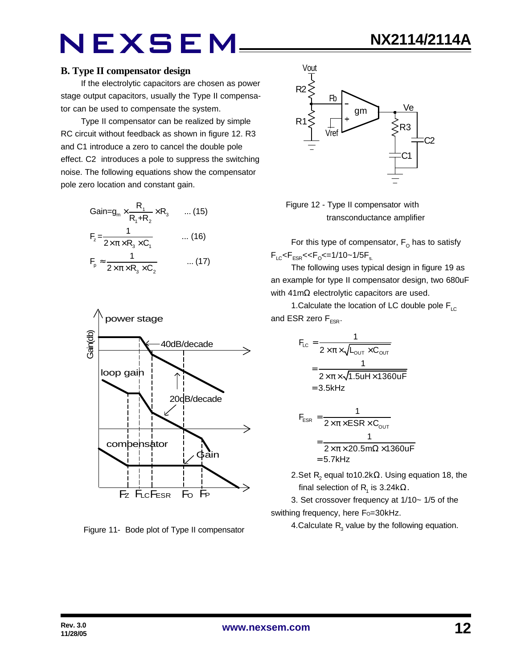If the electrolytic capacitors are chosen as power stage output capacitors, usually the Type II compensator can be used to compensate the system.

Type II compensator can be realized by simple RC circuit without feedback as shown in figure 12. R3 and C1 introduce a zero to cancel the double pole effect. C2 introduces a pole to suppress the switching noise. The following equations show the compensator pole zero location and constant gain.

$$
Gain = g_m \times \frac{R_1}{R_1 + R_2} \times R_3 \qquad \dots (15)
$$
  
\n
$$
F_z = \frac{1}{2 \times \pi \times R_3 \times C_1} \qquad \dots (16)
$$
  
\n
$$
F_p \approx \frac{1}{2 \times \pi \times R_3 \times C_2} \qquad \dots (17)
$$



Figure 11- Bode plot of Type II compensator





For this type of compensator,  $\mathsf{F}_\mathsf{O}$  has to satisfy  $F_{LC}$ < $F_{ESR}$ << $F_{O}$ <=1/10~1/5 $F_{s.}$ 

The following uses typical design in figure 19 as an example for type II compensator design, two 680uF with 41mΩ electrolytic capacitors are used.

1. Calculate the location of LC double pole  $F_{\text{LC}}$ and ESR zero  $F_{FSR}$ .

$$
F_{LC} = \frac{1}{2 \times \pi \times \sqrt{L_{OUT} \times C_{OUT}}}
$$

$$
= \frac{1}{2 \times \pi \times \sqrt{1.5uH \times 1360uF}}
$$

$$
= 3.5kHz
$$

$$
F_{ESR} = \frac{1}{2 \times \pi \times ESR \times C_{OUT}}
$$

$$
= \frac{1}{2 \times \pi \times 20.5 m\Omega \times 1360 uF}
$$

$$
= 5.7 kHz
$$

2.Set  $\mathsf{R}_{\mathsf{2}}$  equal to10.2k $\Omega$ . Using equation 18, the final selection of R<sub>1</sub> is 3.24kΩ.

3. Set crossover frequency at 1/10~ 1/5 of the swithing frequency, here Fo=30kHz.

4.Calculate  $R_3$  value by the following equation.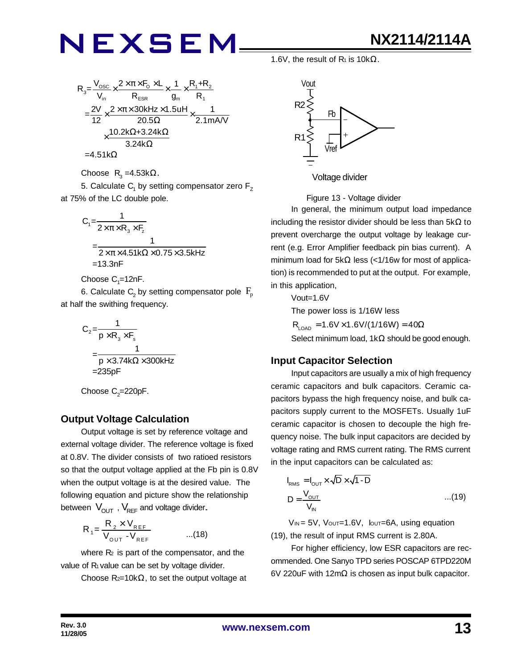$$
R_{3} = \frac{V_{\text{osc}}}{V_{\text{in}}} \times \frac{2 \times \pi \times F_{\text{O}} \times L}{R_{\text{ESR}}} \times \frac{1}{g_{\text{m}}} \times \frac{R_{1} + R_{2}}{R_{1}}
$$
\n
$$
= \frac{2V}{12} \times \frac{2 \times \pi \times 30 \text{kHz} \times 1.5 \text{uH}}{20.5 \Omega} \times \frac{1}{2.1 \text{mA/V}}
$$
\n
$$
\times \frac{10.2 \text{k}\Omega + 3.24 \text{k}\Omega}{3.24 \text{k}\Omega}
$$
\n=4.51 k $\Omega$ 

Choose  $R_3 = 4.53k\Omega$ .

5. Calculate  $\mathsf{C}_\mathsf{1}$  by setting compensator zero  $\mathsf{F}_\mathsf{Z}$ at 75% of the LC double pole.

$$
C_1 = \frac{1}{2 \times \pi \times R_3 \times F_2}
$$
  
= 
$$
\frac{1}{2 \times \pi \times 4.51k\Omega \times 0.75 \times 3.5kHz}
$$
  
= 13.3nF

Choose  $\mathsf{C}_\text{\tiny{1}}$ =12nF.

6. Calculate  $\mathsf{C}_\mathsf{2}$  by setting compensator pole  $\,\mathsf{F}_\mathsf{p}\,$ at half the swithing frequency.

$$
C_2 = \frac{1}{p \times R_3 \times F_s}
$$
  
= 
$$
\frac{1}{p \times 3.74k\Omega \times 300kHz}
$$
  
= 235pF

Choose  $\mathrm{C}_2$ =220pF.

### **Output Voltage Calculation**

Output voltage is set by reference voltage and external voltage divider. The reference voltage is fixed at 0.8V. The divider consists of two ratioed resistors so that the output voltage applied at the Fb pin is 0.8V when the output voltage is at the desired value. The following equation and picture show the relationship between  $V_{\text{OUT}}$ ,  $V_{\text{REF}}$  and voltage divider.

$$
R_{1} = \frac{R_{2} \times V_{REF}}{V_{OUT} - V_{REF}} \qquad ...(18)
$$

where  $R<sub>2</sub>$  is part of the compensator, and the value of  $R_1$  value can be set by voltage divider.

Choose  $R_{2}=10k\Omega$ , to set the output voltage at

1.6V, the result of  $R_1$  is 10k $\Omega$ .



Figure 13 - Voltage divider

In general, the minimum output load impedance including the resistor divider should be less than  $5k\Omega$  to prevent overcharge the output voltage by leakage current (e.g. Error Amplifier feedback pin bias current). A minimum load for 5kΩ less (<1/16w for most of application) is recommended to put at the output. For example, in this application,

Vout=1.6V

The power loss is 1/16W less

 $R_{\text{LOAD}} = 1.6V \times 1.6V/(1/16W) = 40\Omega$ Select minimum load, 1kΩ should be good enough.

### **Input Capacitor Selection**

Input capacitors are usually a mix of high frequency ceramic capacitors and bulk capacitors. Ceramic capacitors bypass the high frequency noise, and bulk capacitors supply current to the MOSFETs. Usually 1uF ceramic capacitor is chosen to decouple the high frequency noise. The bulk input capacitors are decided by voltage rating and RMS current rating. The RMS current in the input capacitors can be calculated as:

$$
I_{RMS} = I_{OUT} \times \sqrt{D} \times \sqrt{1 - D}
$$
  

$$
D = \frac{V_{OUT}}{V_{IN}} \qquad ...(19)
$$

 $V_{IN} = 5V$ ,  $V_{OUT} = 1.6V$ ,  $I_{OUT} = 6A$ , using equation (19), the result of input RMS current is 2.80A.

For higher efficiency, low ESR capacitors are recommended. One Sanyo TPD series POSCAP 6TPD220M 6V 220uF with 12mΩ is chosen as input bulk capacitor.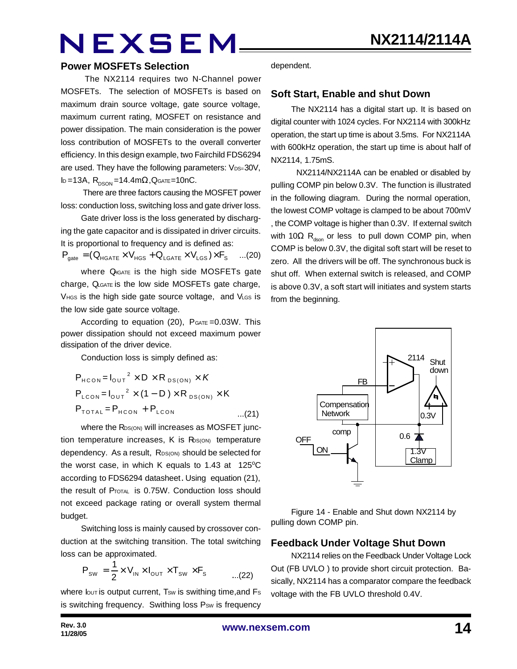#### **Power MOSFETs Selection**

The NX2114 requires two N-Channel power MOSFETs. The selection of MOSFETs is based on maximum drain source voltage, gate source voltage, maximum current rating, MOSFET on resistance and power dissipation. The main consideration is the power loss contribution of MOSFETs to the overall converter efficiency. In this design example, two Fairchild FDS6294 are used. They have the following parameters: VDS=30V, ID=13A,  $R_{DSON} = 14.4$ m $\Omega$ , QGATE=10nC.

 There are three factors causing the MOSFET power loss: conduction loss, switching loss and gate driver loss.

Gate driver loss is the loss generated by discharging the gate capacitor and is dissipated in driver circuits. It is proportional to frequency and is defined as:

$$
\boldsymbol{P}_{\text{gate}} = (\boldsymbol{Q}_{\text{HGATE}} \times \boldsymbol{V}_{\text{HGS}} + \boldsymbol{Q}_{\text{LGATE}} \times \boldsymbol{V}_{\text{LGS}}) \times \boldsymbol{F}_{\text{S}} \quad ... (20)
$$

where  $Q_{\text{IGATE}}$  is the high side MOSFETs gate charge, QLGATE is the low side MOSFETs gate charge, VHGS is the high side gate source voltage, and VLGS is the low side gate source voltage.

According to equation  $(20)$ ,  $P_{GATE} = 0.03W$ . This power dissipation should not exceed maximum power dissipation of the driver device.

Conduction loss is simply defined as:

$$
P_{HCON} = I_{OUT}^{2} \times D \times R_{DS(ON)} \times K
$$
  
\n
$$
P_{LCON} = I_{OUT}^{2} \times (1 - D) \times R_{DS(ON)} \times K
$$
  
\n
$$
P_{TOTAL} = P_{HCON} + P_{LCON}
$$
...(21)

where the RDS(ON) will increases as MOSFET junction temperature increases,  $K$  is  $R_{S(ON)}$  temperature dependency. As a result, RDS(ON) should be selected for the worst case, in which K equals to 1.43 at  $125^{\circ}$ C according to FDS6294 datasheet. Using equation (21), the result of PTOTAL is 0.75W. Conduction loss should not exceed package rating or overall system thermal budget.

Switching loss is mainly caused by crossover conduction at the switching transition. The total switching loss can be approximated.

$$
P_{\text{SW}} = \frac{1}{2} \times V_{\text{IN}} \times I_{\text{OUT}} \times T_{\text{SW}} \times F_{\text{s}} \quad \dots (22)
$$

where  $I_{\text{OUT}}$  is output current, Tsw is swithing time, and Fs is switching frequency. Swithing loss Psw is frequency dependent.

#### **Soft Start, Enable and shut Down**

The NX2114 has a digital start up. It is based on digital counter with 1024 cycles. For NX2114 with 300kHz operation, the start up time is about 3.5ms. For NX2114A with 600kHz operation, the start up time is about half of NX2114, 1.75mS.

 NX2114/NX2114A can be enabled or disabled by pulling COMP pin below 0.3V. The function is illustrated in the following diagram. During the normal operation, the lowest COMP voltage is clamped to be about 700mV , the COMP voltage is higher than 0.3V. If external switch with 10 $\Omega$  R<sub>dson</sub> or less to pull down COMP pin, when COMP is below 0.3V, the digital soft start will be reset to zero. All the drivers will be off. The synchronous buck is shut off. When external switch is released, and COMP is above 0.3V, a soft start will initiates and system starts from the beginning.



Figure 14 - Enable and Shut down NX2114 by pulling down COMP pin.

### **Feedback Under Voltage Shut Down**

NX2114 relies on the Feedback Under Voltage Lock Out (FB UVLO ) to provide short circuit protection. Basically, NX2114 has a comparator compare the feedback voltage with the FB UVLO threshold 0.4V.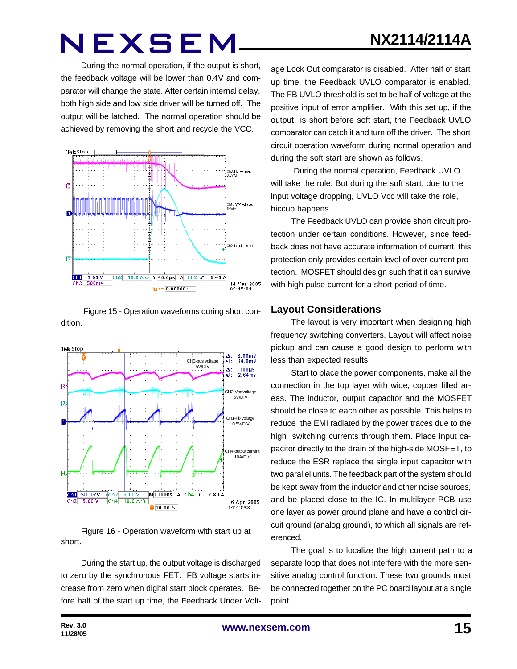**NX2114/2114A**

During the normal operation, if the output is short, the feedback voltage will be lower than 0.4V and comparator will change the state. After certain internal delay, both high side and low side driver will be turned off. The output will be latched. The normal operation should be achieved by removing the short and recycle the VCC.



Figure 15 - Operation waveforms during short condition.



Figure 16 - Operation waveform with start up at short.

During the start up, the output voltage is discharged to zero by the synchronous FET. FB voltage starts increase from zero when digital start block operates. Before half of the start up time, the Feedback Under Volt-

age Lock Out comparator is disabled. After half of start up time, the Feedback UVLO comparator is enabled. The FB UVLO threshold is set to be half of voltage at the positive input of error amplifier. With this set up, if the output is short before soft start, the Feedback UVLO comparator can catch it and turn off the driver. The short circuit operation waveform during normal operation and during the soft start are shown as follows.

 During the normal operation, Feedback UVLO will take the role. But during the soft start, due to the input voltage dropping, UVLO Vcc will take the role, hiccup happens.

The Feedback UVLO can provide short circuit protection under certain conditions. However, since feedback does not have accurate information of current, this protection only provides certain level of over current protection. MOSFET should design such that it can survive with high pulse current for a short period of time.

#### **Layout Considerations**

The layout is very important when designing high frequency switching converters. Layout will affect noise pickup and can cause a good design to perform with less than expected results.

Start to place the power components, make all the connection in the top layer with wide, copper filled areas. The inductor, output capacitor and the MOSFET should be close to each other as possible. This helps to reduce the EMI radiated by the power traces due to the high switching currents through them. Place input capacitor directly to the drain of the high-side MOSFET, to reduce the ESR replace the single input capacitor with two parallel units. The feedback part of the system should be kept away from the inductor and other noise sources, and be placed close to the IC. In multilayer PCB use one layer as power ground plane and have a control circuit ground (analog ground), to which all signals are referenced.

The goal is to localize the high current path to a separate loop that does not interfere with the more sensitive analog control function. These two grounds must be connected together on the PC board layout at a single point.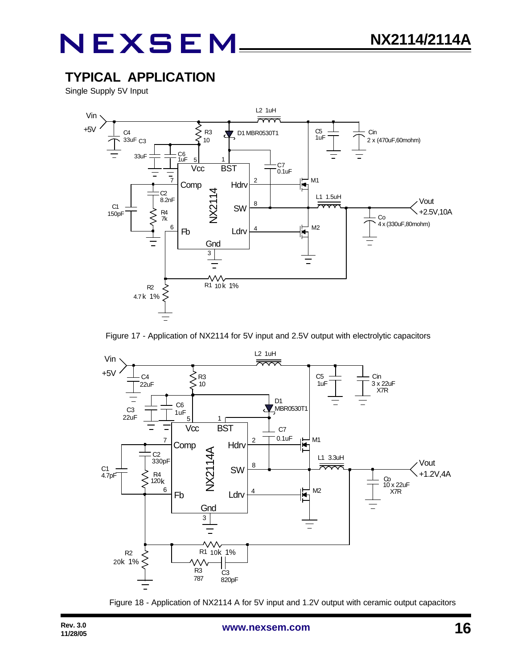### **TYPICAL APPLICATION**

Single Supply 5V Input



Figure 17 - Application of NX2114 for 5V input and 2.5V output with electrolytic capacitors



Figure 18 - Application of NX2114 A for 5V input and 1.2V output with ceramic output capacitors